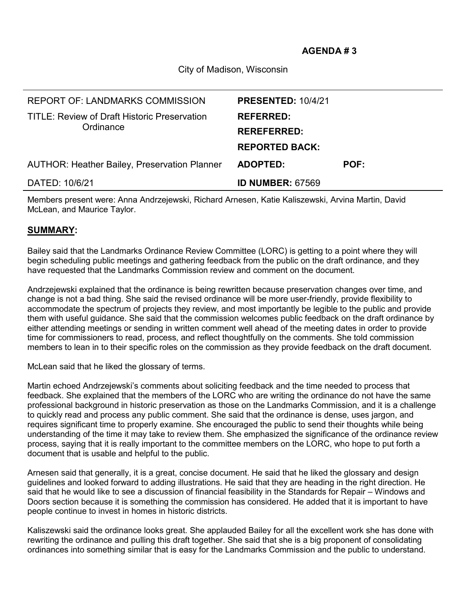City of Madison, Wisconsin

| <b>REPORT OF: LANDMARKS COMMISSION</b>                    | <b>PRESENTED: 10/4/21</b> |             |
|-----------------------------------------------------------|---------------------------|-------------|
| TITLE: Review of Draft Historic Preservation<br>Ordinance | <b>REFERRED:</b>          |             |
|                                                           | <b>REREFERRED:</b>        |             |
|                                                           | <b>REPORTED BACK:</b>     |             |
| <b>AUTHOR: Heather Bailey, Preservation Planner</b>       | ADOPTED:                  | <b>POF:</b> |
| DATED: 10/6/21                                            | <b>ID NUMBER: 67569</b>   |             |

Members present were: Anna Andrzejewski, Richard Arnesen, Katie Kaliszewski, Arvina Martin, David McLean, and Maurice Taylor.

## **SUMMARY:**

Bailey said that the Landmarks Ordinance Review Committee (LORC) is getting to a point where they will begin scheduling public meetings and gathering feedback from the public on the draft ordinance, and they have requested that the Landmarks Commission review and comment on the document.

Andrzejewski explained that the ordinance is being rewritten because preservation changes over time, and change is not a bad thing. She said the revised ordinance will be more user-friendly, provide flexibility to accommodate the spectrum of projects they review, and most importantly be legible to the public and provide them with useful guidance. She said that the commission welcomes public feedback on the draft ordinance by either attending meetings or sending in written comment well ahead of the meeting dates in order to provide time for commissioners to read, process, and reflect thoughtfully on the comments. She told commission members to lean in to their specific roles on the commission as they provide feedback on the draft document.

McLean said that he liked the glossary of terms.

Martin echoed Andrzejewski's comments about soliciting feedback and the time needed to process that feedback. She explained that the members of the LORC who are writing the ordinance do not have the same professional background in historic preservation as those on the Landmarks Commission, and it is a challenge to quickly read and process any public comment. She said that the ordinance is dense, uses jargon, and requires significant time to properly examine. She encouraged the public to send their thoughts while being understanding of the time it may take to review them. She emphasized the significance of the ordinance review process, saying that it is really important to the committee members on the LORC, who hope to put forth a document that is usable and helpful to the public.

Arnesen said that generally, it is a great, concise document. He said that he liked the glossary and design guidelines and looked forward to adding illustrations. He said that they are heading in the right direction. He said that he would like to see a discussion of financial feasibility in the Standards for Repair – Windows and Doors section because it is something the commission has considered. He added that it is important to have people continue to invest in homes in historic districts.

Kaliszewski said the ordinance looks great. She applauded Bailey for all the excellent work she has done with rewriting the ordinance and pulling this draft together. She said that she is a big proponent of consolidating ordinances into something similar that is easy for the Landmarks Commission and the public to understand.